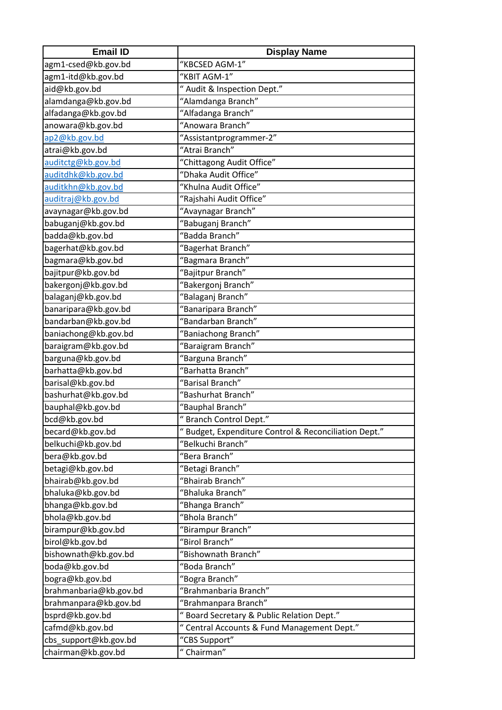| <b>Email ID</b>        | <b>Display Name</b>                                  |
|------------------------|------------------------------------------------------|
| agm1-csed@kb.gov.bd    | "KBCSED AGM-1"                                       |
| agm1-itd@kb.gov.bd     | "KBIT AGM-1"                                         |
| aid@kb.gov.bd          | " Audit & Inspection Dept."                          |
| alamdanga@kb.gov.bd    | "Alamdanga Branch"                                   |
| alfadanga@kb.gov.bd    | "Alfadanga Branch"                                   |
| anowara@kb.gov.bd      | "Anowara Branch"                                     |
| ap2@kb.gov.bd          | "Assistantprogrammer-2"                              |
| atrai@kb.gov.bd        | "Atrai Branch"                                       |
| auditctg@kb.gov.bd     | "Chittagong Audit Office"                            |
| auditdhk@kb.gov.bd     | "Dhaka Audit Office"                                 |
| auditkhn@kb.gov.bd     | "Khulna Audit Office"                                |
| auditraj@kb.gov.bd     | "Rajshahi Audit Office"                              |
| avaynagar@kb.gov.bd    | "Avaynagar Branch"                                   |
| babuganj@kb.gov.bd     | "Babuganj Branch"                                    |
| badda@kb.gov.bd        | "Badda Branch"                                       |
| bagerhat@kb.gov.bd     | "Bagerhat Branch"                                    |
| bagmara@kb.gov.bd      | "Bagmara Branch"                                     |
| bajitpur@kb.gov.bd     | "Bajitpur Branch"                                    |
| bakergonj@kb.gov.bd    | "Bakergonj Branch"                                   |
| balaganj@kb.gov.bd     | "Balaganj Branch"                                    |
| banaripara@kb.gov.bd   | "Banaripara Branch"                                  |
| bandarban@kb.gov.bd    | "Bandarban Branch"                                   |
| baniachong@kb.gov.bd   | "Baniachong Branch"                                  |
| baraigram@kb.gov.bd    | "Baraigram Branch"                                   |
| barguna@kb.gov.bd      | "Barguna Branch"                                     |
| barhatta@kb.gov.bd     | "Barhatta Branch"                                    |
| barisal@kb.gov.bd      | "Barisal Branch"                                     |
| bashurhat@kb.gov.bd    | "Bashurhat Branch"                                   |
| bauphal@kb.gov.bd      | "Bauphal Branch"                                     |
| bcd@kb.gov.bd          | "Branch Control Dept."                               |
| becard@kb.gov.bd       | "Budget, Expenditure Control & Reconciliation Dept." |
| belkuchi@kb.gov.bd     | "Belkuchi Branch"                                    |
| bera@kb.gov.bd         | "Bera Branch"                                        |
| betagi@kb.gov.bd       | "Betagi Branch"                                      |
| bhairab@kb.gov.bd      | "Bhairab Branch"                                     |
| bhaluka@kb.gov.bd      | "Bhaluka Branch"                                     |
| bhanga@kb.gov.bd       | "Bhanga Branch"                                      |
| bhola@kb.gov.bd        | "Bhola Branch"                                       |
| birampur@kb.gov.bd     | "Birampur Branch"                                    |
| birol@kb.gov.bd        | "Birol Branch"                                       |
| bishownath@kb.gov.bd   | "Bishownath Branch"                                  |
|                        | "Boda Branch"                                        |
| boda@kb.gov.bd         |                                                      |
| bogra@kb.gov.bd        | "Bogra Branch"                                       |
| brahmanbaria@kb.gov.bd | "Brahmanbaria Branch"                                |
| brahmanpara@kb.gov.bd  | "Brahmanpara Branch"                                 |
| bsprd@kb.gov.bd        | "Board Secretary & Public Relation Dept."            |
| cafmd@kb.gov.bd        | " Central Accounts & Fund Management Dept."          |
| cbs_support@kb.gov.bd  | "CBS Support"                                        |
| chairman@kb.gov.bd     | " Chairman"                                          |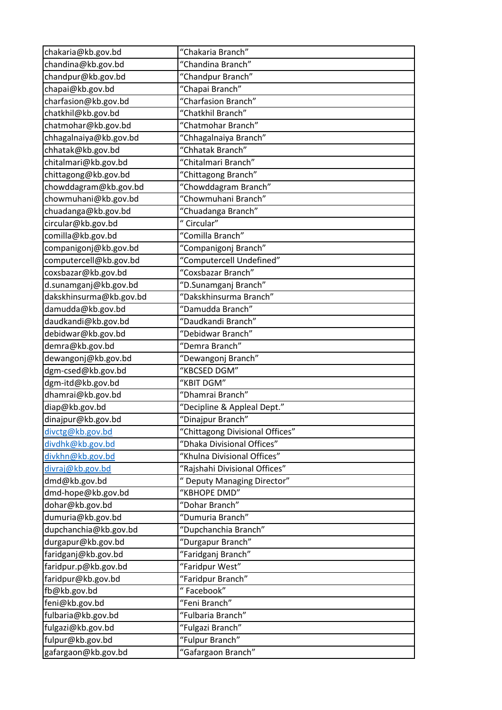| chakaria@kb.gov.bd      | "Chakaria Branch"               |
|-------------------------|---------------------------------|
| chandina@kb.gov.bd      | "Chandina Branch"               |
| chandpur@kb.gov.bd      | "Chandpur Branch"               |
| chapai@kb.gov.bd        | "Chapai Branch"                 |
| charfasion@kb.gov.bd    | "Charfasion Branch"             |
| chatkhil@kb.gov.bd      | "Chatkhil Branch"               |
| chatmohar@kb.gov.bd     | "Chatmohar Branch"              |
| chhagalnaiya@kb.gov.bd  | "Chhagalnaiya Branch"           |
| chhatak@kb.gov.bd       | "Chhatak Branch"                |
| chitalmari@kb.gov.bd    | "Chitalmari Branch"             |
| chittagong@kb.gov.bd    | "Chittagong Branch"             |
| chowddagram@kb.gov.bd   | "Chowddagram Branch"            |
| chowmuhani@kb.gov.bd    | "Chowmuhani Branch"             |
| chuadanga@kb.gov.bd     | "Chuadanga Branch"              |
| circular@kb.gov.bd      | "Circular"                      |
| comilla@kb.gov.bd       | "Comilla Branch"                |
| companigonj@kb.gov.bd   | "Companigonj Branch"            |
| computercell@kb.gov.bd  | "Computercell Undefined"        |
| coxsbazar@kb.gov.bd     | "Coxsbazar Branch"              |
| d.sunamganj@kb.gov.bd   | "D.Sunamganj Branch"            |
| dakskhinsurma@kb.gov.bd | "Dakskhinsurma Branch"          |
| damudda@kb.gov.bd       | "Damudda Branch"                |
| daudkandi@kb.gov.bd     | "Daudkandi Branch"              |
| debidwar@kb.gov.bd      | "Debidwar Branch"               |
| demra@kb.gov.bd         | "Demra Branch"                  |
| dewangonj@kb.gov.bd     | "Dewangonj Branch"              |
| dgm-csed@kb.gov.bd      | "KBCSED DGM"                    |
| dgm-itd@kb.gov.bd       | "KBIT DGM"                      |
| dhamrai@kb.gov.bd       | "Dhamrai Branch"                |
| diap@kb.gov.bd          | "Decipline & Appleal Dept."     |
| dinajpur@kb.gov.bd      | "Dinajpur Branch"               |
| divctg@kb.gov.bd        | "Chittagong Divisional Offices" |
| divdhk@kb.gov.bd        | "Dhaka Divisional Offices"      |
| divkhn@kb.gov.bd        | "Khulna Divisional Offices"     |
| divraj@kb.gov.bd        | "Rajshahi Divisional Offices"   |
| dmd@kb.gov.bd           | " Deputy Managing Director"     |
| dmd-hope@kb.gov.bd      | "KBHOPE DMD"                    |
| dohar@kb.gov.bd         | "Dohar Branch"                  |
| dumuria@kb.gov.bd       | "Dumuria Branch"                |
| dupchanchia@kb.gov.bd   | "Dupchanchia Branch"            |
| durgapur@kb.gov.bd      | "Durgapur Branch"               |
| faridganj@kb.gov.bd     | "Faridganj Branch"              |
| faridpur.p@kb.gov.bd    | "Faridpur West"                 |
| faridpur@kb.gov.bd      | "Faridpur Branch"               |
| fb@kb.gov.bd            | "Facebook"                      |
| feni@kb.gov.bd          | "Feni Branch"                   |
| fulbaria@kb.gov.bd      | "Fulbaria Branch"               |
| fulgazi@kb.gov.bd       | "Fulgazi Branch"                |
| fulpur@kb.gov.bd        | "Fulpur Branch"                 |
| gafargaon@kb.gov.bd     | "Gafargaon Branch"              |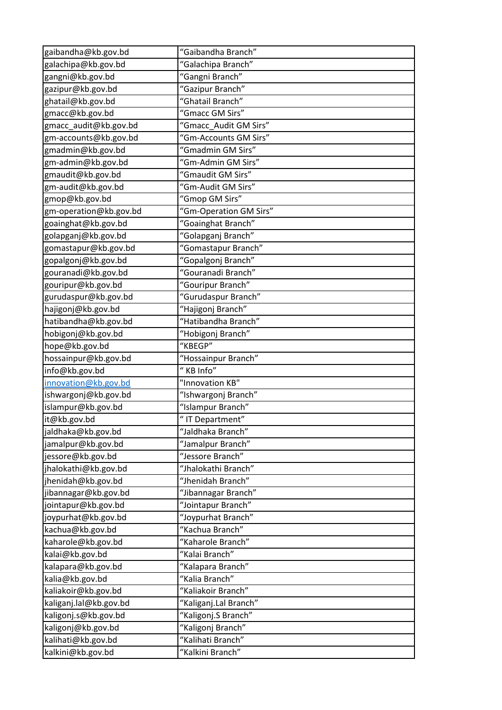| gaibandha@kb.gov.bd    | "Gaibandha Branch"     |
|------------------------|------------------------|
| galachipa@kb.gov.bd    | "Galachipa Branch"     |
| gangni@kb.gov.bd       | "Gangni Branch"        |
| gazipur@kb.gov.bd      | "Gazipur Branch"       |
| ghatail@kb.gov.bd      | "Ghatail Branch"       |
| gmacc@kb.gov.bd        | "Gmacc GM Sirs"        |
| gmacc_audit@kb.gov.bd  | "Gmacc Audit GM Sirs"  |
| gm-accounts@kb.gov.bd  | "Gm-Accounts GM Sirs"  |
| gmadmin@kb.gov.bd      | "Gmadmin GM Sirs"      |
| gm-admin@kb.gov.bd     | "Gm-Admin GM Sirs"     |
| gmaudit@kb.gov.bd      | "Gmaudit GM Sirs"      |
| gm-audit@kb.gov.bd     | "Gm-Audit GM Sirs"     |
| gmop@kb.gov.bd         | "Gmop GM Sirs"         |
| gm-operation@kb.gov.bd | "Gm-Operation GM Sirs" |
| goainghat@kb.gov.bd    | "Goainghat Branch"     |
| golapganj@kb.gov.bd    | "Golapganj Branch"     |
| gomastapur@kb.gov.bd   | "Gomastapur Branch"    |
| gopalgonj@kb.gov.bd    | "Gopalgonj Branch"     |
| gouranadi@kb.gov.bd    | "Gouranadi Branch"     |
| gouripur@kb.gov.bd     | "Gouripur Branch"      |
| gurudaspur@kb.gov.bd   | "Gurudaspur Branch"    |
| hajigonj@kb.gov.bd     | "Hajigonj Branch"      |
| hatibandha@kb.gov.bd   | "Hatibandha Branch"    |
| hobigonj@kb.gov.bd     | "Hobigonj Branch"      |
| hope@kb.gov.bd         | "KBEGP"                |
| hossainpur@kb.gov.bd   | "Hossainpur Branch"    |
| info@kb.gov.bd         | " KB Info"             |
| innovation@kb.gov.bd   | "Innovation KB"        |
| ishwargonj@kb.gov.bd   | "Ishwargonj Branch"    |
| islampur@kb.gov.bd     | "Islampur Branch"      |
| it@kb.gov.bd           | " IT Department"       |
| jaldhaka@kb.gov.bd     | "Jaldhaka Branch"      |
| jamalpur@kb.gov.bd     | "Jamalpur Branch"      |
| jessore@kb.gov.bd      | "Jessore Branch"       |
| jhalokathi@kb.gov.bd   | "Jhalokathi Branch"    |
| jhenidah@kb.gov.bd     | "Jhenidah Branch"      |
| jibannagar@kb.gov.bd   | "Jibannagar Branch"    |
| jointapur@kb.gov.bd    | "Jointapur Branch"     |
| joypurhat@kb.gov.bd    | "Joypurhat Branch"     |
| kachua@kb.gov.bd       | "Kachua Branch"        |
| kaharole@kb.gov.bd     | "Kaharole Branch"      |
| kalai@kb.gov.bd        | "Kalai Branch"         |
| kalapara@kb.gov.bd     | "Kalapara Branch"      |
| kalia@kb.gov.bd        | "Kalia Branch"         |
| kaliakoir@kb.gov.bd    | "Kaliakoir Branch"     |
| kaliganj.lal@kb.gov.bd | "Kaliganj.Lal Branch"  |
| kaligonj.s@kb.gov.bd   | "Kaligonj.S Branch"    |
| kaligonj@kb.gov.bd     | "Kaligonj Branch"      |
| kalihati@kb.gov.bd     | "Kalihati Branch"      |
| kalkini@kb.gov.bd      | "Kalkini Branch"       |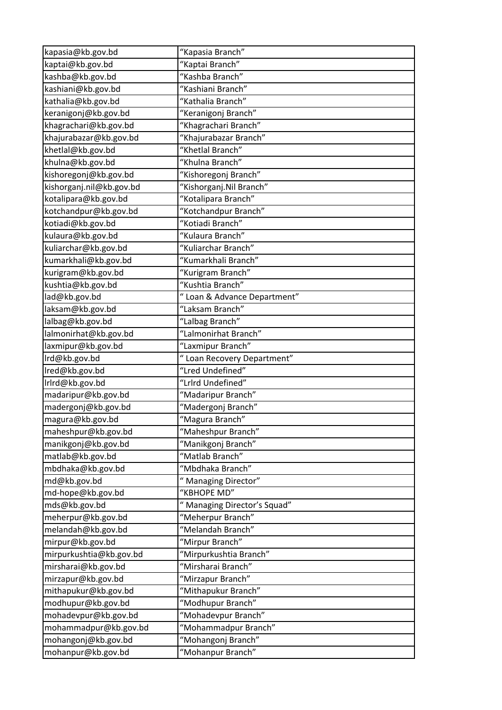| kapasia@kb.gov.bd                         | "Kapasia Branch"                        |
|-------------------------------------------|-----------------------------------------|
| kaptai@kb.gov.bd                          | "Kaptai Branch"                         |
| kashba@kb.gov.bd                          | "Kashba Branch"                         |
| kashiani@kb.gov.bd                        | "Kashiani Branch"                       |
| kathalia@kb.gov.bd                        | "Kathalia Branch"                       |
| keranigonj@kb.gov.bd                      | "Keranigonj Branch"                     |
| khagrachari@kb.gov.bd                     | "Khagrachari Branch"                    |
| khajurabazar@kb.gov.bd                    | "Khajurabazar Branch"                   |
| khetlal@kb.gov.bd                         | "Khetlal Branch"                        |
| khulna@kb.gov.bd                          | "Khulna Branch"                         |
| kishoregonj@kb.gov.bd                     | "Kishoregonj Branch"                    |
| kishorganj.nil@kb.gov.bd                  | "Kishorganj.Nil Branch"                 |
| kotalipara@kb.gov.bd                      | "Kotalipara Branch"                     |
| kotchandpur@kb.gov.bd                     | "Kotchandpur Branch"                    |
| kotiadi@kb.gov.bd                         | "Kotiadi Branch"                        |
| kulaura@kb.gov.bd                         | "Kulaura Branch"                        |
| kuliarchar@kb.gov.bd                      | "Kuliarchar Branch"                     |
| kumarkhali@kb.gov.bd                      | "Kumarkhali Branch"                     |
| kurigram@kb.gov.bd                        | "Kurigram Branch"                       |
| kushtia@kb.gov.bd                         | "Kushtia Branch"                        |
| lad@kb.gov.bd                             | " Loan & Advance Department"            |
| laksam@kb.gov.bd                          | "Laksam Branch"                         |
| lalbag@kb.gov.bd                          | "Lalbag Branch"                         |
| lalmonirhat@kb.gov.bd                     | "Lalmonirhat Branch"                    |
| laxmipur@kb.gov.bd                        | "Laxmipur Branch"                       |
| Ird@kb.gov.bd                             | " Loan Recovery Department"             |
| Ired@kb.gov.bd                            | "Lred Undefined"                        |
| Irlrd@kb.gov.bd                           | "Lrlrd Undefined"                       |
| madaripur@kb.gov.bd                       | "Madaripur Branch"                      |
| madergonj@kb.gov.bd                       | "Madergonj Branch"                      |
| magura@kb.gov.bd                          | "Magura Branch"                         |
| maheshpur@kb.gov.bd                       | "Maheshpur Branch"                      |
| manikgonj@kb.gov.bd                       | "Manikgonj Branch"                      |
| matlab@kb.gov.bd                          | "Matlab Branch"                         |
| mbdhaka@kb.gov.bd                         | "Mbdhaka Branch"                        |
| md@kb.gov.bd                              | " Managing Director"                    |
| md-hope@kb.gov.bd                         |                                         |
|                                           | "KBHOPE MD"                             |
| mds@kb.gov.bd                             | " Managing Director's Squad"            |
| meherpur@kb.gov.bd                        | "Meherpur Branch"                       |
| melandah@kb.gov.bd                        | "Melandah Branch"                       |
| mirpur@kb.gov.bd                          | "Mirpur Branch"                         |
| mirpurkushtia@kb.gov.bd                   | "Mirpurkushtia Branch"                  |
| mirsharai@kb.gov.bd                       | "Mirsharai Branch"                      |
| mirzapur@kb.gov.bd                        | "Mirzapur Branch"                       |
| mithapukur@kb.gov.bd                      | "Mithapukur Branch"                     |
| modhupur@kb.gov.bd                        | "Modhupur Branch"                       |
| mohadevpur@kb.gov.bd                      | "Mohadevpur Branch"                     |
| mohammadpur@kb.gov.bd                     | "Mohammadpur Branch"                    |
| mohangonj@kb.gov.bd<br>mohanpur@kb.gov.bd | "Mohangonj Branch"<br>"Mohanpur Branch" |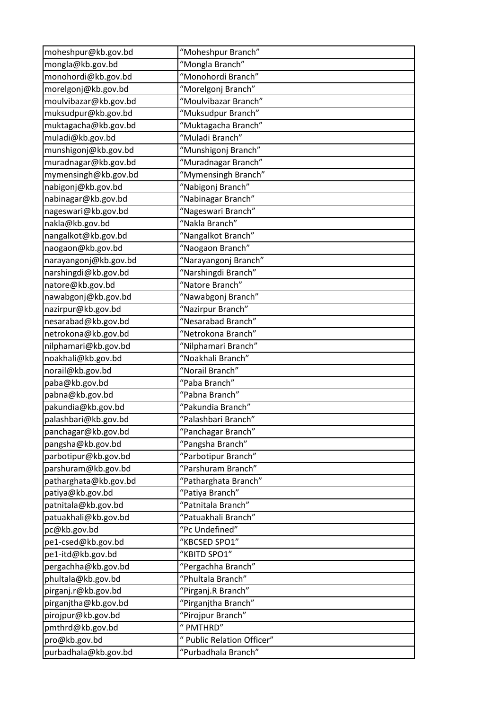| moheshpur@kb.gov.bd   | "Moheshpur Branch"         |
|-----------------------|----------------------------|
| mongla@kb.gov.bd      | "Mongla Branch"            |
| monohordi@kb.gov.bd   | "Monohordi Branch"         |
| morelgonj@kb.gov.bd   | "Morelgonj Branch"         |
| moulvibazar@kb.gov.bd | "Moulvibazar Branch"       |
| muksudpur@kb.gov.bd   | "Muksudpur Branch"         |
| muktagacha@kb.gov.bd  | "Muktagacha Branch"        |
| muladi@kb.gov.bd      | "Muladi Branch"            |
| munshigonj@kb.gov.bd  | "Munshigonj Branch"        |
| muradnagar@kb.gov.bd  | "Muradnagar Branch"        |
| mymensingh@kb.gov.bd  | "Mymensingh Branch"        |
| nabigonj@kb.gov.bd    | "Nabigonj Branch"          |
| nabinagar@kb.gov.bd   | "Nabinagar Branch"         |
| nageswari@kb.gov.bd   | "Nageswari Branch"         |
| nakla@kb.gov.bd       | "Nakla Branch"             |
| nangalkot@kb.gov.bd   | "Nangalkot Branch"         |
| naogaon@kb.gov.bd     | "Naogaon Branch"           |
| narayangonj@kb.gov.bd | "Narayangonj Branch"       |
| narshingdi@kb.gov.bd  | "Narshingdi Branch"        |
| natore@kb.gov.bd      | "Natore Branch"            |
| nawabgonj@kb.gov.bd   | "Nawabgonj Branch"         |
| nazirpur@kb.gov.bd    | "Nazirpur Branch"          |
| nesarabad@kb.gov.bd   | "Nesarabad Branch"         |
| netrokona@kb.gov.bd   | "Netrokona Branch"         |
| nilphamari@kb.gov.bd  | "Nilphamari Branch"        |
| noakhali@kb.gov.bd    | "Noakhali Branch"          |
| norail@kb.gov.bd      | "Norail Branch"            |
| paba@kb.gov.bd        | "Paba Branch"              |
| pabna@kb.gov.bd       | "Pabna Branch"             |
| pakundia@kb.gov.bd    | "Pakundia Branch"          |
| palashbari@kb.gov.bd  | "Palashbari Branch"        |
| panchagar@kb.gov.bd   | "Panchagar Branch"         |
| pangsha@kb.gov.bd     | "Pangsha Branch"           |
| parbotipur@kb.gov.bd  | "Parbotipur Branch"        |
| parshuram@kb.gov.bd   | "Parshuram Branch"         |
| patharghata@kb.gov.bd | "Patharghata Branch"       |
| patiya@kb.gov.bd      | "Patiya Branch"            |
| patnitala@kb.gov.bd   | "Patnitala Branch"         |
| patuakhali@kb.gov.bd  | "Patuakhali Branch"        |
| pc@kb.gov.bd          | "Pc Undefined"             |
| pe1-csed@kb.gov.bd    | "KBCSED SPO1"              |
| pe1-itd@kb.gov.bd     | "KBITD SPO1"               |
| pergachha@kb.gov.bd   | "Pergachha Branch"         |
| phultala@kb.gov.bd    | "Phultala Branch"          |
| pirganj.r@kb.gov.bd   | "Pirganj.R Branch"         |
| pirganjtha@kb.gov.bd  | "Pirganjtha Branch"        |
| pirojpur@kb.gov.bd    | "Pirojpur Branch"          |
| pmthrd@kb.gov.bd      | " PMTHRD"                  |
| pro@kb.gov.bd         | " Public Relation Officer" |
| purbadhala@kb.gov.bd  | "Purbadhala Branch"        |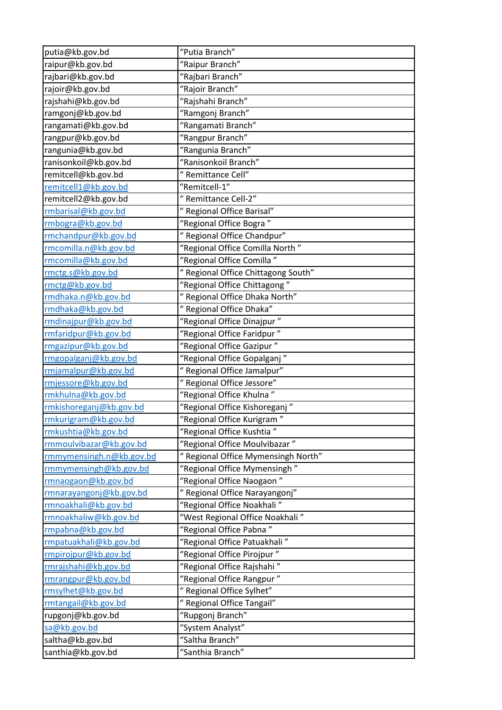| putia@kb.gov.bd          | "Putia Branch"                      |
|--------------------------|-------------------------------------|
| raipur@kb.gov.bd         | "Raipur Branch"                     |
| rajbari@kb.gov.bd        | "Rajbari Branch"                    |
| rajoir@kb.gov.bd         | "Rajoir Branch"                     |
| rajshahi@kb.gov.bd       | "Rajshahi Branch"                   |
| ramgonj@kb.gov.bd        | "Ramgonj Branch"                    |
| rangamati@kb.gov.bd      | "Rangamati Branch"                  |
| rangpur@kb.gov.bd        | "Rangpur Branch"                    |
| rangunia@kb.gov.bd       | "Rangunia Branch"                   |
| ranisonkoil@kb.gov.bd    | "Ranisonkoil Branch"                |
| remitcell@kb.gov.bd      | " Remittance Cell"                  |
| remitcell1@kb.gov.bd     | "Remitcell-1"                       |
| remitcell2@kb.gov.bd     | "Remittance Cell-2"                 |
| rmbarisal@kb.gov.bd      | " Regional Office Barisal"          |
| rmbogra@kb.gov.bd        | "Regional Office Bogra"             |
| rmchandpur@kb.gov.bd     | " Regional Office Chandpur"         |
| rmcomilla.n@kb.gov.bd    | "Regional Office Comilla North"     |
| rmcomilla@kb.gov.bd      | "Regional Office Comilla"           |
| rmctg.s@kb.gov.bd        | " Regional Office Chittagong South" |
| rmctg@kb.gov.bd          | "Regional Office Chittagong"        |
| rmdhaka.n@kb.gov.bd      | " Regional Office Dhaka North"      |
| rmdhaka@kb.gov.bd        | " Regional Office Dhaka"            |
| rmdinajpur@kb.gov.bd     | "Regional Office Dinajpur"          |
| rmfaridpur@kb.gov.bd     | "Regional Office Faridpur"          |
| rmgazipur@kb.gov.bd      | "Regional Office Gazipur"           |
| rmgopalganj@kb.gov.bd    | "Regional Office Gopalganj"         |
| rmjamalpur@kb.gov.bd     | " Regional Office Jamalpur"         |
| rmjessore@kb.gov.bd      | " Regional Office Jessore"          |
| rmkhulna@kb.gov.bd       | "Regional Office Khulna"            |
| rmkishoreganj@kb.gov.bd  | "Regional Office Kishoreganj"       |
| rmkurigram@kb.gov.bd     | "Regional Office Kurigram"          |
| rmkushtia@kb.gov.bd      | "Regional Office Kushtia"           |
| rmmoulvibazar@kb.gov.bd  | "Regional Office Moulvibazar"       |
| rmmymensingh.n@kb.gov.bd | " Regional Office Mymensingh North" |
| rmmymensingh@kb.gov.bd   | "Regional Office Mymensingh"        |
| rmnaogaon@kb.gov.bd      | "Regional Office Naogaon"           |
| rmnarayangonj@kb.gov.bd  | " Regional Office Narayangonj"      |
| rmnoakhali@kb.gov.bd     | "Regional Office Noakhali"          |
| rmnoakhaliw@kb.gov.bd    | "West Regional Office Noakhali"     |
| rmpabna@kb.gov.bd        | "Regional Office Pabna"             |
| rmpatuakhali@kb.gov.bd   | "Regional Office Patuakhali"        |
| rmpirojpur@kb.gov.bd     | "Regional Office Pirojpur"          |
| rmrajshahi@kb.gov.bd     | "Regional Office Rajshahi"          |
| rmrangpur@kb.gov.bd      | "Regional Office Rangpur"           |
| rmsylhet@kb.gov.bd       | " Regional Office Sylhet"           |
| rmtangail@kb.gov.bd      | " Regional Office Tangail"          |
| rupgonj@kb.gov.bd        | "Rupgonj Branch"                    |
| sa@kb.gov.bd             | "System Analyst"                    |
| saltha@kb.gov.bd         | "Saltha Branch"                     |
| santhia@kb.gov.bd        | "Santhia Branch"                    |